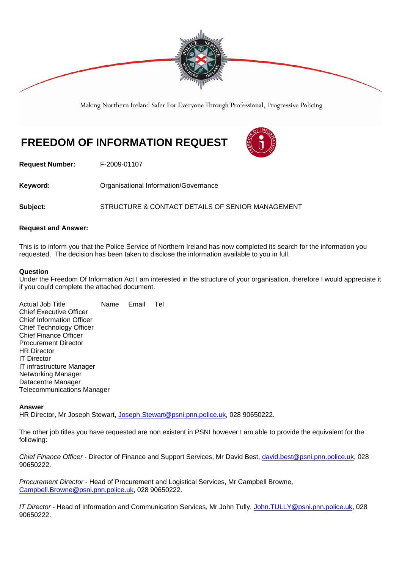

Making Northern Ireland Safer For Everyone Through Professional, Progressive Policing

## **FREEDOM OF INFORMATION REQUEST**



**Request Number:** F-2009-01107

**Keyword: C**rganisational Information/Governance

**Subject:** STRUCTURE & CONTACT DETAILS OF SENIOR MANAGEMENT

## **Request and Answer:**

This is to inform you that the Police Service of Northern Ireland has now completed its search for the information you requested. The decision has been taken to disclose the information available to you in full.

## **Question**

Under the Freedom Of Information Act I am interested in the structure of your organisation, therefore I would appreciate it if you could complete the attached document.

Actual Job Title Name Email Tel Chief Executive Officer Chief Information Officer Chief Technology Officer Chief Finance Officer Procurement Director HR Director IT Director IT infrastructure Manager Networking Manager Datacentre Manager Telecommunications Manager

## **Answer**

HR Director, Mr Joseph Stewart, Joseph.Stewart@psni.pnn.police.uk, 028 90650222.

The other job titles you have requested are non existent in PSNI however I am able to provide the equivalent for the following:

*Chief Finance Officer* - Director of Finance and Support Services, Mr David Best, david.best@psni.pnn.police.uk, 028 90650222.

*Procurement Director* - Head of Procurement and Logistical Services, Mr Campbell Browne, Campbell.Browne@psni.pnn.police.uk, 028 90650222.

*IT Director* - Head of Information and Communication Services, Mr John Tully, John.TULLY@psni.pnn.police.uk, 028 90650222.